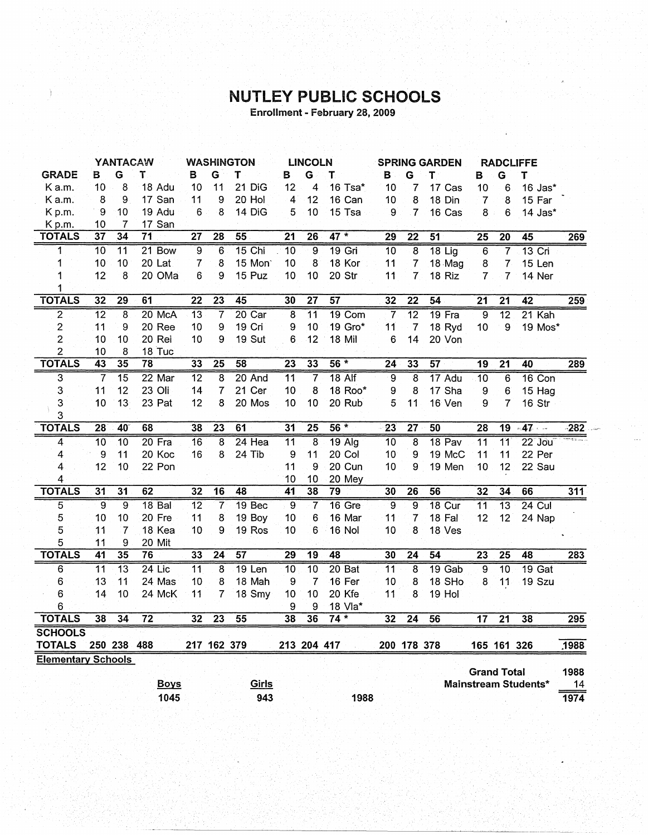## **NUTLEY PUBLIC SCHOOLS**<br>Enrollment - February 28, 2009

|                           |                 | YANTACAW<br><b>WASHINGTON</b><br><b>LINCOLN</b> |                   | <b>SPRING GARDEN</b> |                         |                | <b>RADCLIFFE</b>        |                         |                 |                 |                 |                 |                    |                 |                 |        |
|---------------------------|-----------------|-------------------------------------------------|-------------------|----------------------|-------------------------|----------------|-------------------------|-------------------------|-----------------|-----------------|-----------------|-----------------|--------------------|-----------------|-----------------|--------|
| <b>GRADE</b>              | в               | G                                               | Τ.                | в                    | G                       | Т              | в                       | G                       | т               | в               | G               | т               | B                  | G               | Т               |        |
| K a.m.                    | 10              | 8                                               | 18 Adu            | 10                   | 11                      | 21 DiG         | 12                      | 4                       | 16 Tsa*         | 10              | 7               | 17 Cas          | 10                 | 6               | 16 Jas*         |        |
| Ka.m.                     | 8               | 9                                               | 17 San            | 11                   | 9                       | 20 Hol         | 4                       | 12                      | 16 Can          | 10              | 8               | 18 Din          | $\overline{7}$     | 8               | 15 Far          |        |
| Kp.m.                     | $\mathbf 9$     | 10                                              | 19 Adu            | 6                    | 8                       | 14 DiG         | 5                       | 10                      | 15 Tsa          | 9               | 7               | 16 Cas          | 8                  | 6               | 14 Jas*         |        |
| Kp.m.                     | 10              | 7                                               | 17 San            |                      |                         |                |                         |                         |                 |                 |                 |                 |                    |                 |                 |        |
| <b>TOTALS</b>             | $\overline{37}$ | 34                                              | $\overline{71}$   | $\overline{27}$      | $\overline{28}$         | 55             | $\overline{21}$         | $\overline{26}$         | $47 *$          | $\overline{29}$ | $\overline{22}$ | 51              | $\overline{25}$    | $\overline{20}$ | 45              | 269    |
| 1                         | $\overline{10}$ | $\overline{11}$                                 | 21 Bow            | $\overline{9}$       | $\overline{6}$          | $15$ Chi       | $\overline{10}$         | $\overline{9}$          | $19$ Gri        | 10              | $\overline{8}$  | $18$ Lig        | $\overline{6}$     | 7               | $13$ Cri        |        |
| 1                         | 10              | 10                                              | 20 Lat            | $\overline{7}$       | 8                       | 15 Mon         | 10                      | 8                       | 18 Kor          | 11              | 7               | 18 Mag          | 8                  | $\overline{7}$  | 15 Len          |        |
| 1                         | 12              | 8                                               | 20 OMa            | 6                    | 9                       | 15 Puz         | 10                      | 10                      | 20 Str          | 11              | 7               | 18 Riz          | $\overline{7}$     | $\overline{7}$  | 14 Ner          |        |
| 1                         |                 |                                                 |                   |                      |                         |                |                         |                         |                 |                 |                 |                 |                    |                 |                 |        |
| <b>TOTALS</b>             | 32              | $\overline{29}$                                 | 61                | $\overline{22}$      | $\overline{23}$         | 45             | 30                      | $\overline{27}$         | $\overline{57}$ | 32              | $\overline{22}$ | 54              | $\overline{21}$    | $\overline{21}$ | $\overline{42}$ | 259    |
| $\overline{2}$            | $\overline{12}$ | $\overline{\mathbf{8}}$                         | 20 McA            | $\overline{13}$      | 7                       | $20$ Car       | $\overline{\mathbf{8}}$ | $\overline{11}$         | 19 Com          | 7               | $\overline{12}$ | $19$ Fra        | $\overline{9}$     | $\overline{12}$ | $21$ Kah        |        |
| $\overline{c}$            | 11              | 9                                               | 20 Ree            | 10                   | 9                       | 19 Cri         | 9                       | 10                      | 19 Gro*         | 11              | $\overline{7}$  | 18 Ryd          | 10                 | 9               | 19 Mos*         |        |
| $\overline{c}$            | 10              | 10                                              | 20 Rei            | 10                   | 9                       | <b>19. Sut</b> | 6                       | 12                      | 18 Mil          | 6               | 14              | 20 Von          |                    |                 |                 |        |
| $\overline{2}$            | 10              | 8                                               | 18 Tuc            |                      |                         |                |                         |                         |                 |                 |                 |                 |                    |                 |                 |        |
| <b>TOTALS</b>             | 43              | 35                                              | 78                | 33                   | $\overline{25}$         | 58             | 23                      | 33                      | $56*$           | $\overline{24}$ | 33              | $\overline{57}$ | $\overline{19}$    | $\overline{21}$ | 40              | 289    |
| $\overline{\mathbf{3}}$   | 7               | $\overline{15}$                                 | $22$ Mar          | $\overline{12}$      | $\overline{8}$          | 20 And         | $\overline{11}$         | 7                       | $18$ Alf        | 9               | 8               | 17 Adu          | 10                 | 6               | $16$ Con        |        |
| 3                         | 11              | 12                                              | 23 Oli            | 14                   | $\overline{7}$          | 21 Cer         | 10                      | 8                       | 18 Roo*         | 9               | 8               | 17 Sha          | 9                  | 6               | 15 Hag          |        |
| 3                         | 10              | 13                                              | 23 Pat            | 12                   | 8                       | 20 Mos         | 10                      | 10                      | 20 Rub          | 5               | 11              | 16 Ven          | 9                  | 7               | 16 Str          |        |
| 3                         |                 |                                                 |                   |                      |                         |                |                         |                         |                 |                 |                 |                 |                    |                 |                 |        |
| <b>TOTALS</b>             | 28              | 40                                              | 68                | 38                   | $\overline{23}$         | 61             | 31                      | $\overline{25}$         | $56 *$          | $\overline{23}$ | $\overline{27}$ | 50              | $\overline{28}$    | $\overline{19}$ | $-47 -$         | $-282$ |
| 4                         | $\overline{10}$ | $\overline{10}$                                 | $20$ Fra          | $\overline{16}$      | $\overline{\mathbf{8}}$ | $24$ Hea       | $\overline{11}$         | $\overline{\mathbf{8}}$ | $19$ Alg        | 10              | $\overline{8}$  | 18 Pav          | $\overline{11}$    | $\overline{11}$ | $22$ Jou        |        |
| 4                         | 9               | 11                                              | 20 Koc            | 16                   | 8                       | 24 Tib         | 9                       | 11                      | 20 Col          | 10              | 9               | 19 McC          | 11                 | 11              | 22 Per          |        |
| 4                         | 12              | 10                                              | 22 Pon            |                      |                         |                | 11                      | 9                       | 20 Cun          | 10              | 9               | 19 Men          | 10                 | 12              | 22 Sau          |        |
| 4                         |                 |                                                 |                   |                      |                         |                | 10                      | 10                      | 20 Mey          |                 |                 |                 |                    |                 |                 |        |
| <b>TOTALS</b>             | $\overline{31}$ | $\overline{31}$                                 | 62                | 32                   | 16                      | 48             | $\overline{41}$         | 38                      | $\overline{79}$ | 30              | $\overline{26}$ | 56              | 32                 | 34              | 66              | 311    |
| 5                         | 9               | 9                                               | 18 <sub>Bal</sub> | $\overline{12}$      | $\overline{\mathbf{7}}$ | 19 Bec         | $\overline{9}$          | $\overline{7}$          | $16$ Gre        | $\overline{9}$  | $\overline{9}$  | <b>18 Cur</b>   | $\overline{11}$    | $\overline{13}$ | 24 Cul          |        |
| 5                         | 10              | 10                                              | 20 Fre            | 11                   | 8                       | 19 Boy         | 10                      | 6                       | 16 Mar          | 11              | $\overline{7}$  | 18 Fal          | 12                 | 12              | 24 Nap          |        |
| 5                         | 11              | 7                                               | 18 Kea            | 10                   | 9                       | 19 Ros         | 10                      | 6                       | 16 Nol          | 10              | 8               | 18 Ves          |                    |                 |                 |        |
| 5                         | 11              | 9                                               | 20 Mit            |                      |                         |                |                         |                         |                 |                 |                 |                 |                    |                 |                 |        |
| <b>TOTALS</b>             | $\overline{41}$ | 35                                              | 76                | 33                   | $\overline{24}$         | 57             | 29                      | 19                      | 48              | 30              | $\overline{24}$ | 54              | $\overline{23}$    | $\overline{25}$ | 48              | 283    |
| 6                         | $\overline{11}$ | $\overline{13}$                                 | $24$ Lic          | $\overline{11}$      | $\overline{8}$          | 19 Len         | 10                      | $\overline{10}$         | 20 Bat          | $\overline{11}$ | $\overline{8}$  | $19$ Gab        | $\overline{9}$     | $\overline{10}$ | $19$ Gat        |        |
| 6                         | 13              | 11                                              | 24 Mas            | 10                   | 8                       | 18 Mah         | $\boldsymbol{9}$        | $\overline{7}$          | 16 Fer          | 10              | 8               | 18 SHo          | 8                  | 11              | 19 Szu          |        |
| 6                         | 14              | 10                                              | 24 McK            | 11                   | 7                       | 18 Smy         | 10                      | 10                      | 20 Kfe          | 11              | 8               | 19 Hol          |                    |                 |                 |        |
| 6                         |                 |                                                 |                   |                      |                         |                | 9                       | $\overline{9}$          | 18 Vla*         |                 |                 |                 |                    |                 |                 |        |
| <b>TOTALS</b>             | 38              | 34                                              | $\overline{72}$   | 32                   | $\overline{23}$         | 55             | 38                      | 36                      | $74*$           | 32              | $\overline{24}$ | 56              | 17                 | $\overline{21}$ | 38              | 295    |
| <b>SCHOOLS</b>            |                 |                                                 |                   |                      |                         |                |                         |                         |                 |                 |                 |                 |                    |                 |                 |        |
| <b>TOTALS</b>             |                 | 250 238 488                                     |                   |                      | 217 162 379             |                |                         | 213 204 417             |                 |                 | 200 178 378     |                 |                    | 165 161 326     |                 | 1988   |
| <b>Elementary Schools</b> |                 |                                                 |                   |                      |                         |                |                         |                         |                 |                 |                 |                 |                    |                 |                 |        |
|                           |                 |                                                 |                   |                      |                         |                |                         |                         |                 |                 |                 |                 | <b>Grand Total</b> |                 |                 | 1988   |

|             |       |      | ---------            | .    |
|-------------|-------|------|----------------------|------|
| <b>Boys</b> | Girls |      | Mainstream Students* |      |
| 1045        | 943   | 1988 |                      | 1974 |